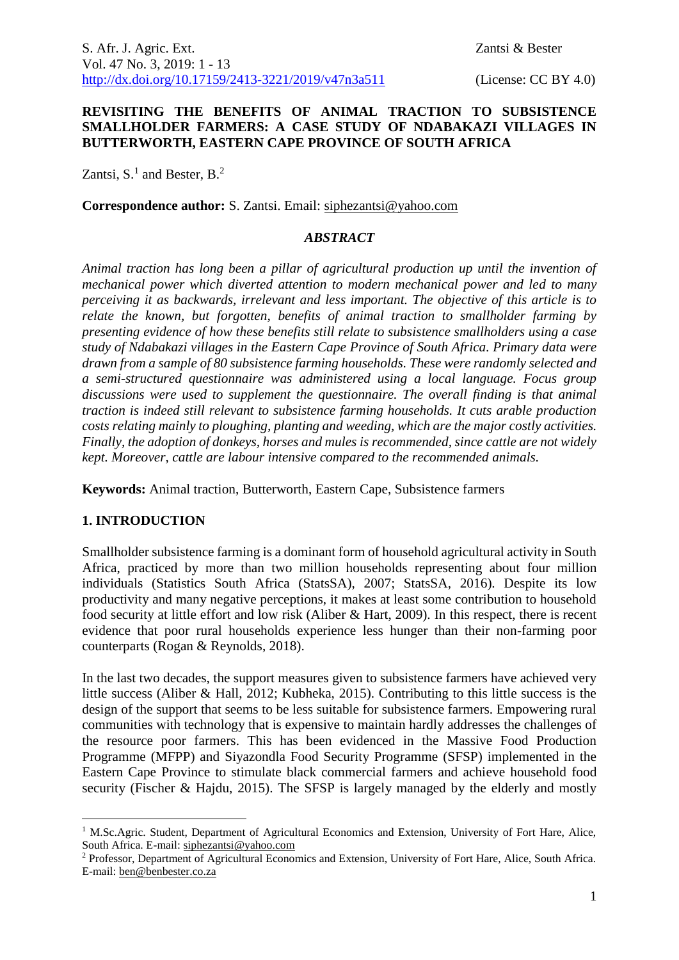### **REVISITING THE BENEFITS OF ANIMAL TRACTION TO SUBSISTENCE SMALLHOLDER FARMERS: A CASE STUDY OF NDABAKAZI VILLAGES IN BUTTERWORTH, EASTERN CAPE PROVINCE OF SOUTH AFRICA**

Zantsi,  $S<sup>1</sup>$  and Bester,  $B<sup>2</sup>$ 

**Correspondence author:** S. Zantsi. Email: siphezantsi@yahoo.com

#### *ABSTRACT*

*Animal traction has long been a pillar of agricultural production up until the invention of mechanical power which diverted attention to modern mechanical power and led to many perceiving it as backwards, irrelevant and less important. The objective of this article is to relate the known, but forgotten, benefits of animal traction to smallholder farming by presenting evidence of how these benefits still relate to subsistence smallholders using a case study of Ndabakazi villages in the Eastern Cape Province of South Africa. Primary data were drawn from a sample of 80 subsistence farming households. These were randomly selected and a semi-structured questionnaire was administered using a local language. Focus group discussions were used to supplement the questionnaire. The overall finding is that animal traction is indeed still relevant to subsistence farming households. It cuts arable production costs relating mainly to ploughing, planting and weeding, which are the major costly activities. Finally, the adoption of donkeys, horses and mules is recommended, since cattle are not widely kept. Moreover, cattle are labour intensive compared to the recommended animals.*

**Keywords:** Animal traction, Butterworth, Eastern Cape, Subsistence farmers

#### **1. INTRODUCTION**

<u>.</u>

Smallholder subsistence farming is a dominant form of household agricultural activity in South Africa, practiced by more than two million households representing about four million individuals (Statistics South Africa (StatsSA), 2007; StatsSA, 2016). Despite its low productivity and many negative perceptions, it makes at least some contribution to household food security at little effort and low risk (Aliber & Hart, 2009). In this respect, there is recent evidence that poor rural households experience less hunger than their non-farming poor counterparts (Rogan & Reynolds, 2018).

In the last two decades, the support measures given to subsistence farmers have achieved very little success (Aliber & Hall, 2012; Kubheka, 2015). Contributing to this little success is the design of the support that seems to be less suitable for subsistence farmers. Empowering rural communities with technology that is expensive to maintain hardly addresses the challenges of the resource poor farmers. This has been evidenced in the Massive Food Production Programme (MFPP) and Siyazondla Food Security Programme (SFSP) implemented in the Eastern Cape Province to stimulate black commercial farmers and achieve household food security (Fischer & Hajdu, 2015). The SFSP is largely managed by the elderly and mostly

<sup>&</sup>lt;sup>1</sup> M.Sc.Agric. Student, Department of Agricultural Economics and Extension, University of Fort Hare, Alice, South Africa. E-mail: siphezantsi@yahoo.com

<sup>2</sup> Professor, Department of Agricultural Economics and Extension, University of Fort Hare, Alice, South Africa. E-mail: ben@benbester.co.za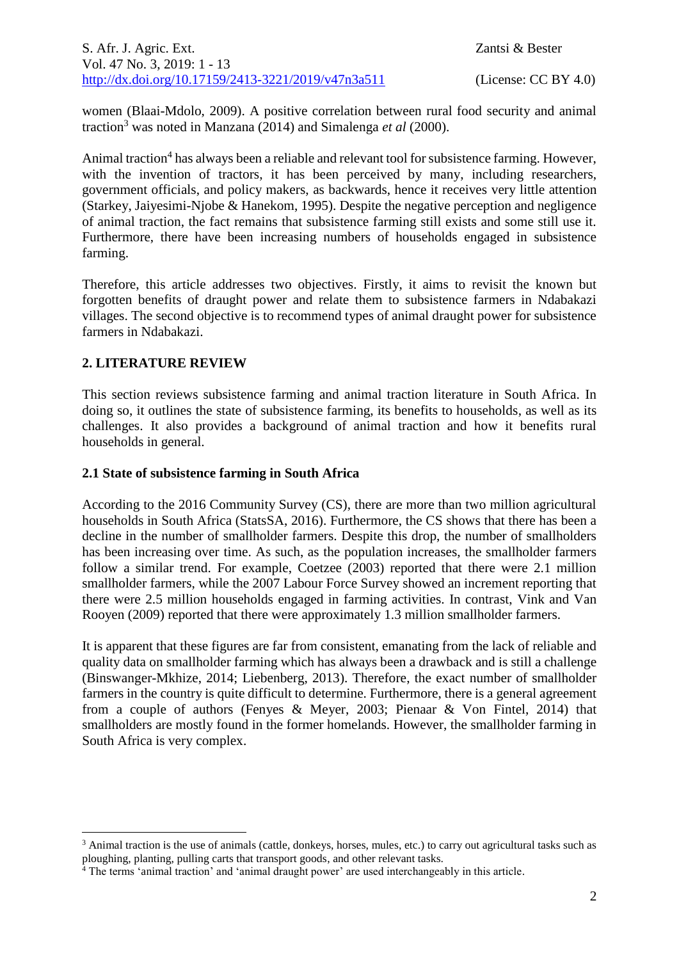S. Afr. J. Agric. Ext. Zantsi & Bester Vol. 47 No. 3, 2019: 1 - 13 [http://dx.doi.org/10.17159/2413-3221/2019/v47n3a5](https://urldefense.proofpoint.com/v2/url?u=http-3A__dx.doi.org_10.17159_2413-2D3221_2019_v47n1a485&d=DwMFAg&c=vTCSeBKl9YZZHWJzz-zQUQ&r=2O1irMqrdumXAIE9PdSLREhTXj5iyPGEywcz8I6zQwI&m=niwmmhX1mCI8GpeJjK8D7j-v09hQgXHBu3LsS3Opojw&s=98o8gy8B6ly02TS5WoJvLScIQPXENi4ceK3R3c9Iu9c&e=)11 (License: CC BY 4.0)

women (Blaai-Mdolo, 2009). A positive correlation between rural food security and animal traction<sup>3</sup> was noted in Manzana (2014) and Simalenga *et al* (2000).

Animal traction<sup>4</sup> has always been a reliable and relevant tool for subsistence farming. However, with the invention of tractors, it has been perceived by many, including researchers, government officials, and policy makers, as backwards, hence it receives very little attention (Starkey, Jaiyesimi-Njobe & Hanekom, 1995). Despite the negative perception and negligence of animal traction, the fact remains that subsistence farming still exists and some still use it. Furthermore, there have been increasing numbers of households engaged in subsistence farming.

Therefore, this article addresses two objectives. Firstly, it aims to revisit the known but forgotten benefits of draught power and relate them to subsistence farmers in Ndabakazi villages. The second objective is to recommend types of animal draught power for subsistence farmers in Ndabakazi.

### **2. LITERATURE REVIEW**

1

This section reviews subsistence farming and animal traction literature in South Africa. In doing so, it outlines the state of subsistence farming, its benefits to households, as well as its challenges. It also provides a background of animal traction and how it benefits rural households in general.

### **2.1 State of subsistence farming in South Africa**

According to the 2016 Community Survey (CS), there are more than two million agricultural households in South Africa (StatsSA, 2016). Furthermore, the CS shows that there has been a decline in the number of smallholder farmers. Despite this drop, the number of smallholders has been increasing over time. As such, as the population increases, the smallholder farmers follow a similar trend. For example, Coetzee (2003) reported that there were 2.1 million smallholder farmers, while the 2007 Labour Force Survey showed an increment reporting that there were 2.5 million households engaged in farming activities. In contrast, Vink and Van Rooyen (2009) reported that there were approximately 1.3 million smallholder farmers.

It is apparent that these figures are far from consistent, emanating from the lack of reliable and quality data on smallholder farming which has always been a drawback and is still a challenge (Binswanger-Mkhize, 2014; Liebenberg, 2013). Therefore, the exact number of smallholder farmers in the country is quite difficult to determine. Furthermore, there is a general agreement from a couple of authors (Fenyes & Meyer, 2003; Pienaar & Von Fintel, 2014) that smallholders are mostly found in the former homelands. However, the smallholder farming in South Africa is very complex.

<sup>&</sup>lt;sup>3</sup> Animal traction is the use of animals (cattle, donkeys, horses, mules, etc.) to carry out agricultural tasks such as ploughing, planting, pulling carts that transport goods, and other relevant tasks.

<sup>4</sup> The terms 'animal traction' and 'animal draught power' are used interchangeably in this article.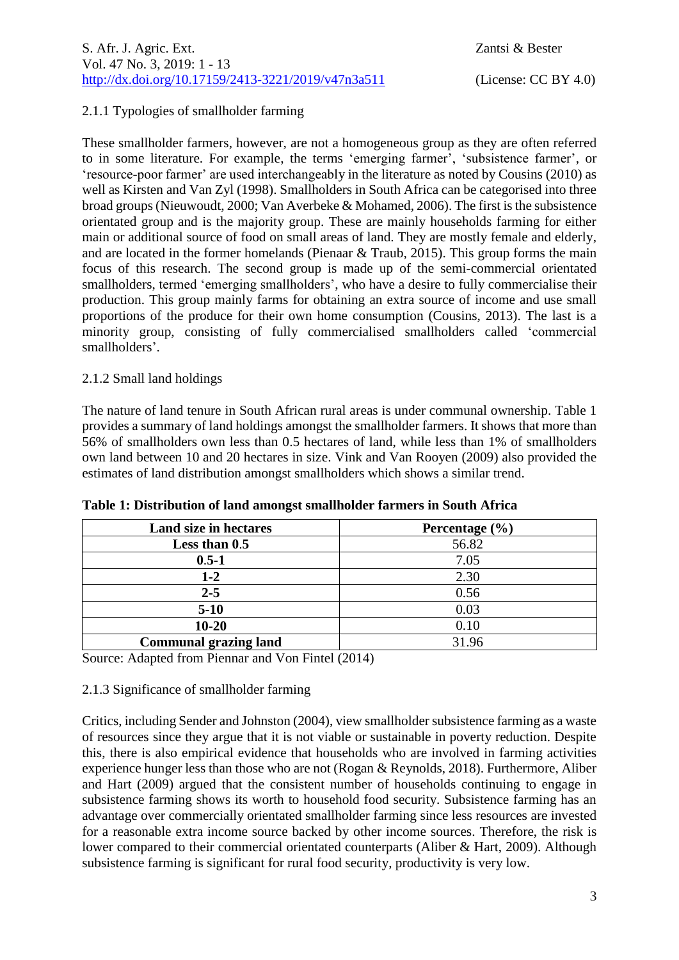## 2.1.1 Typologies of smallholder farming

These smallholder farmers, however, are not a homogeneous group as they are often referred to in some literature. For example, the terms 'emerging farmer', 'subsistence farmer', or 'resource-poor farmer' are used interchangeably in the literature as noted by Cousins (2010) as well as Kirsten and Van Zyl (1998). Smallholders in South Africa can be categorised into three broad groups (Nieuwoudt, 2000; Van Averbeke & Mohamed, 2006). The first is the subsistence orientated group and is the majority group. These are mainly households farming for either main or additional source of food on small areas of land. They are mostly female and elderly, and are located in the former homelands (Pienaar & Traub, 2015). This group forms the main focus of this research. The second group is made up of the semi-commercial orientated smallholders, termed 'emerging smallholders', who have a desire to fully commercialise their production. This group mainly farms for obtaining an extra source of income and use small proportions of the produce for their own home consumption (Cousins, 2013). The last is a minority group, consisting of fully commercialised smallholders called 'commercial smallholders'.

### 2.1.2 Small land holdings

The nature of land tenure in South African rural areas is under communal ownership. Table 1 provides a summary of land holdings amongst the smallholder farmers. It shows that more than 56% of smallholders own less than 0.5 hectares of land, while less than 1% of smallholders own land between 10 and 20 hectares in size. Vink and Van Rooyen (2009) also provided the estimates of land distribution amongst smallholders which shows a similar trend.

| Land size in hectares        | Percentage $(\% )$ |
|------------------------------|--------------------|
| Less than 0.5                | 56.82              |
| $0.5 - 1$                    | 7.05               |
| $1 - 2$                      | 2.30               |
| $2 - 5$                      | 0.56               |
| $5-10$                       | 0.03               |
| $10 - 20$                    | 0.10               |
| <b>Communal grazing land</b> | 31.96              |

**Table 1: Distribution of land amongst smallholder farmers in South Africa**

Source: Adapted from Piennar and Von Fintel (2014)

### 2.1.3 Significance of smallholder farming

Critics, including Sender and Johnston (2004), view smallholder subsistence farming as a waste of resources since they argue that it is not viable or sustainable in poverty reduction. Despite this, there is also empirical evidence that households who are involved in farming activities experience hunger less than those who are not (Rogan & Reynolds, 2018). Furthermore, Aliber and Hart (2009) argued that the consistent number of households continuing to engage in subsistence farming shows its worth to household food security. Subsistence farming has an advantage over commercially orientated smallholder farming since less resources are invested for a reasonable extra income source backed by other income sources. Therefore, the risk is lower compared to their commercial orientated counterparts (Aliber & Hart, 2009). Although subsistence farming is significant for rural food security, productivity is very low.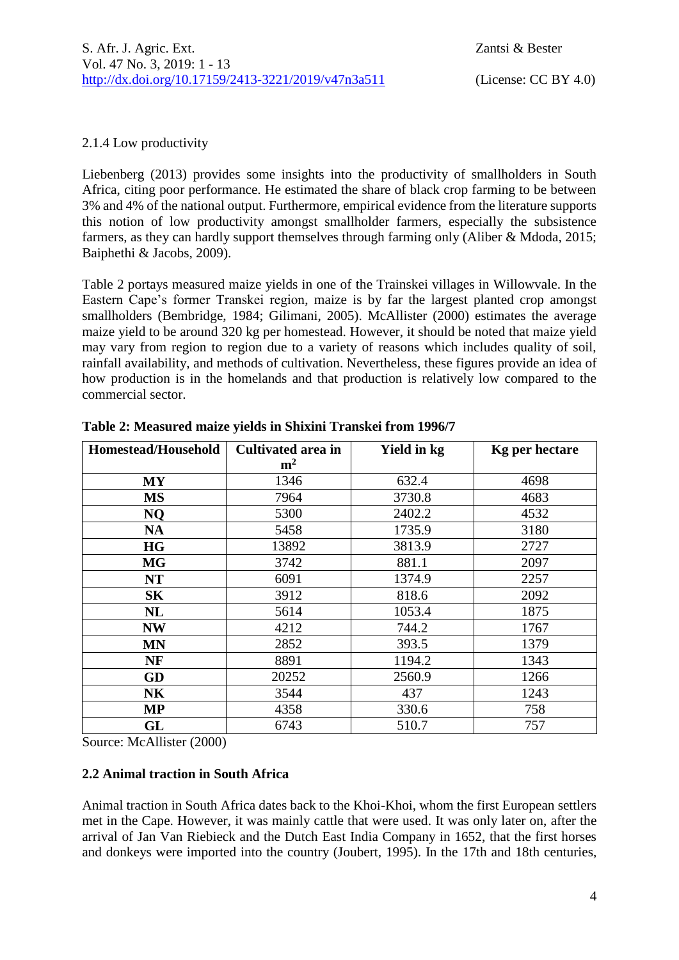### 2.1.4 Low productivity

Liebenberg (2013) provides some insights into the productivity of smallholders in South Africa, citing poor performance. He estimated the share of black crop farming to be between 3% and 4% of the national output. Furthermore, empirical evidence from the literature supports this notion of low productivity amongst smallholder farmers, especially the subsistence farmers, as they can hardly support themselves through farming only (Aliber & Mdoda, 2015; Baiphethi & Jacobs, 2009).

Table 2 portays measured maize yields in one of the Trainskei villages in Willowvale. In the Eastern Cape's former Transkei region, maize is by far the largest planted crop amongst smallholders (Bembridge, 1984; Gilimani, 2005). McAllister (2000) estimates the average maize yield to be around 320 kg per homestead. However, it should be noted that maize yield may vary from region to region due to a variety of reasons which includes quality of soil, rainfall availability, and methods of cultivation. Nevertheless, these figures provide an idea of how production is in the homelands and that production is relatively low compared to the commercial sector.

| <b>Homestead/Household</b> | Cultivated area in | Yield in kg | <b>Kg</b> per hectare |  |
|----------------------------|--------------------|-------------|-----------------------|--|
|                            | m <sup>2</sup>     |             |                       |  |
| <b>MY</b>                  | 1346               | 632.4       | 4698                  |  |
| <b>MS</b>                  | 7964               | 3730.8      | 4683                  |  |
| <b>NQ</b>                  | 5300               | 2402.2      | 4532                  |  |
| <b>NA</b>                  | 5458               | 1735.9      | 3180                  |  |
| <b>HG</b>                  | 13892              | 3813.9      | 2727                  |  |
| <b>MG</b>                  | 3742               | 881.1       | 2097                  |  |
| <b>NT</b>                  | 6091               | 1374.9      | 2257                  |  |
| S <sub>K</sub>             | 3912               | 818.6       | 2092                  |  |
| NL                         | 5614               | 1053.4      | 1875                  |  |
| <b>NW</b>                  | 4212               | 744.2       | 1767                  |  |
| <b>MN</b>                  | 2852               | 393.5       | 1379                  |  |
| <b>NF</b>                  | 8891               | 1194.2      | 1343                  |  |
| GD                         | 20252              | 2560.9      | 1266                  |  |
| NK                         | 3544               | 437         | 1243                  |  |
| MP                         | 4358               | 330.6       | 758                   |  |
| GL                         | 6743               | 510.7       | 757                   |  |

**Table 2: Measured maize yields in Shixini Transkei from 1996/7**

Source: McAllister (2000)

### **2.2 Animal traction in South Africa**

Animal traction in South Africa dates back to the Khoi-Khoi, whom the first European settlers met in the Cape. However, it was mainly cattle that were used. It was only later on, after the arrival of Jan Van Riebieck and the Dutch East India Company in 1652, that the first horses and donkeys were imported into the country (Joubert, 1995). In the 17th and 18th centuries,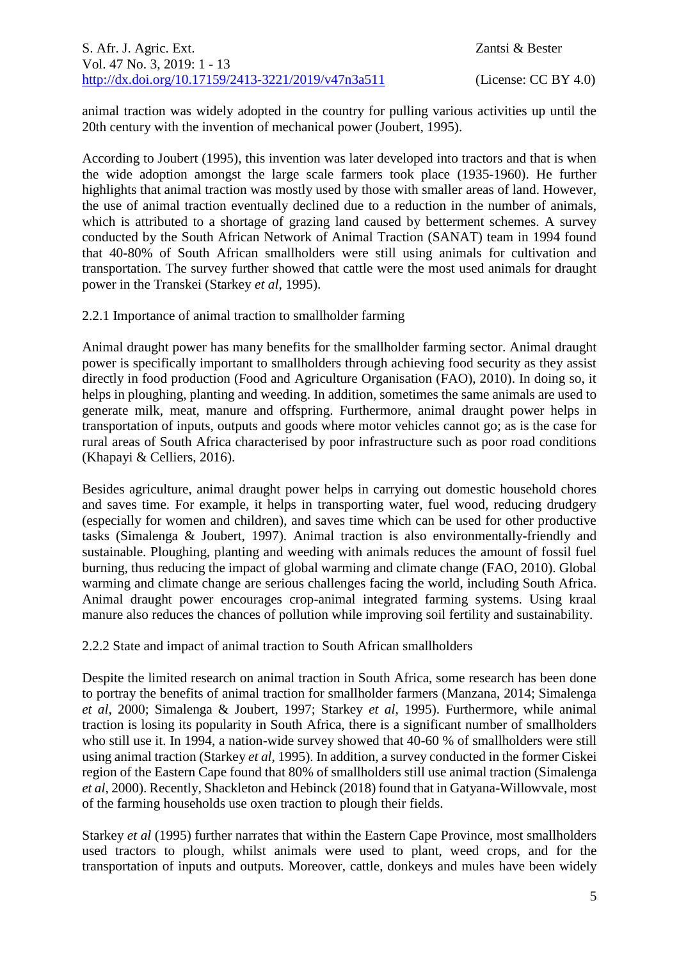animal traction was widely adopted in the country for pulling various activities up until the 20th century with the invention of mechanical power (Joubert, 1995).

According to Joubert (1995), this invention was later developed into tractors and that is when the wide adoption amongst the large scale farmers took place (1935-1960). He further highlights that animal traction was mostly used by those with smaller areas of land. However, the use of animal traction eventually declined due to a reduction in the number of animals, which is attributed to a shortage of grazing land caused by betterment schemes. A survey conducted by the South African Network of Animal Traction (SANAT) team in 1994 found that 40-80% of South African smallholders were still using animals for cultivation and transportation. The survey further showed that cattle were the most used animals for draught power in the Transkei (Starkey *et al*, 1995).

2.2.1 Importance of animal traction to smallholder farming

Animal draught power has many benefits for the smallholder farming sector. Animal draught power is specifically important to smallholders through achieving food security as they assist directly in food production (Food and Agriculture Organisation (FAO), 2010). In doing so, it helps in ploughing, planting and weeding. In addition, sometimes the same animals are used to generate milk, meat, manure and offspring. Furthermore, animal draught power helps in transportation of inputs, outputs and goods where motor vehicles cannot go; as is the case for rural areas of South Africa characterised by poor infrastructure such as poor road conditions (Khapayi & Celliers, 2016).

Besides agriculture, animal draught power helps in carrying out domestic household chores and saves time. For example, it helps in transporting water, fuel wood, reducing drudgery (especially for women and children), and saves time which can be used for other productive tasks (Simalenga & Joubert, 1997). Animal traction is also environmentally-friendly and sustainable. Ploughing, planting and weeding with animals reduces the amount of fossil fuel burning, thus reducing the impact of global warming and climate change (FAO, 2010). Global warming and climate change are serious challenges facing the world, including South Africa. Animal draught power encourages crop-animal integrated farming systems. Using kraal manure also reduces the chances of pollution while improving soil fertility and sustainability.

2.2.2 State and impact of animal traction to South African smallholders

Despite the limited research on animal traction in South Africa, some research has been done to portray the benefits of animal traction for smallholder farmers (Manzana, 2014; Simalenga *et al*, 2000; Simalenga & Joubert, 1997; Starkey *et al*, 1995). Furthermore, while animal traction is losing its popularity in South Africa, there is a significant number of smallholders who still use it. In 1994, a nation-wide survey showed that 40-60 % of smallholders were still using animal traction (Starkey *et al*, 1995). In addition, a survey conducted in the former Ciskei region of the Eastern Cape found that 80% of smallholders still use animal traction (Simalenga *et al*, 2000). Recently, Shackleton and Hebinck (2018) found that in Gatyana-Willowvale, most of the farming households use oxen traction to plough their fields.

Starkey *et al* (1995) further narrates that within the Eastern Cape Province, most smallholders used tractors to plough, whilst animals were used to plant, weed crops, and for the transportation of inputs and outputs. Moreover, cattle, donkeys and mules have been widely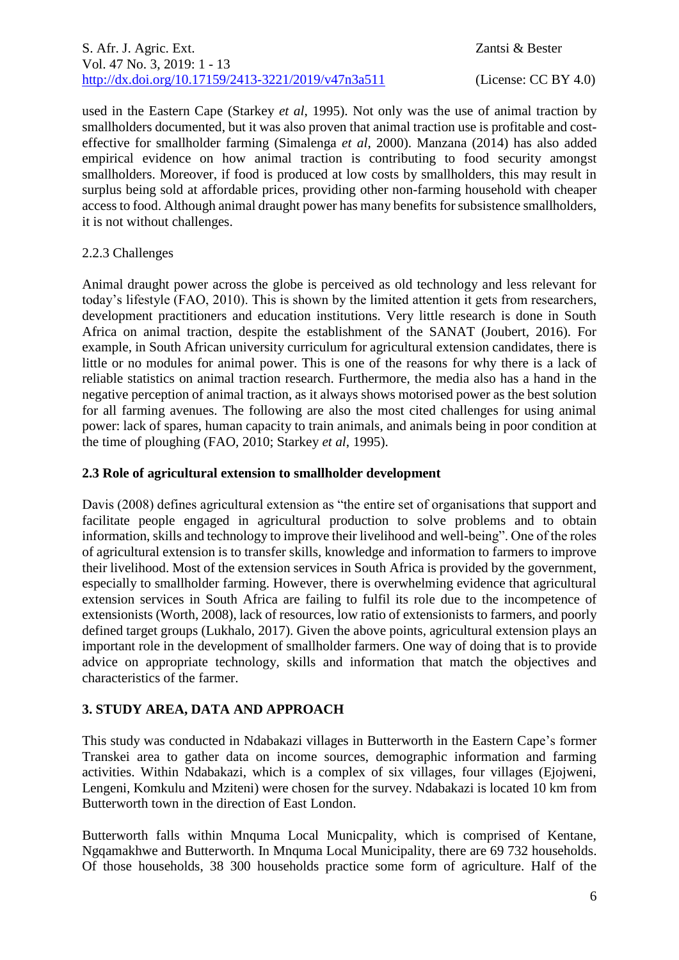used in the Eastern Cape (Starkey *et al*, 1995). Not only was the use of animal traction by smallholders documented, but it was also proven that animal traction use is profitable and costeffective for smallholder farming (Simalenga *et al*, 2000). Manzana (2014) has also added empirical evidence on how animal traction is contributing to food security amongst smallholders. Moreover, if food is produced at low costs by smallholders, this may result in surplus being sold at affordable prices, providing other non-farming household with cheaper access to food. Although animal draught power has many benefits for subsistence smallholders, it is not without challenges.

# 2.2.3 Challenges

Animal draught power across the globe is perceived as old technology and less relevant for today's lifestyle (FAO, 2010). This is shown by the limited attention it gets from researchers, development practitioners and education institutions. Very little research is done in South Africa on animal traction, despite the establishment of the SANAT (Joubert, 2016). For example, in South African university curriculum for agricultural extension candidates, there is little or no modules for animal power. This is one of the reasons for why there is a lack of reliable statistics on animal traction research. Furthermore, the media also has a hand in the negative perception of animal traction, as it always shows motorised power as the best solution for all farming avenues. The following are also the most cited challenges for using animal power: lack of spares, human capacity to train animals, and animals being in poor condition at the time of ploughing (FAO, 2010; Starkey *et al*, 1995).

### **2.3 Role of agricultural extension to smallholder development**

Davis (2008) defines agricultural extension as "the entire set of organisations that support and facilitate people engaged in agricultural production to solve problems and to obtain information, skills and technology to improve their livelihood and well-being". One of the roles of agricultural extension is to transfer skills, knowledge and information to farmers to improve their livelihood. Most of the extension services in South Africa is provided by the government, especially to smallholder farming. However, there is overwhelming evidence that agricultural extension services in South Africa are failing to fulfil its role due to the incompetence of extensionists (Worth, 2008), lack of resources, low ratio of extensionists to farmers, and poorly defined target groups (Lukhalo, 2017). Given the above points, agricultural extension plays an important role in the development of smallholder farmers. One way of doing that is to provide advice on appropriate technology, skills and information that match the objectives and characteristics of the farmer.

# **3. STUDY AREA, DATA AND APPROACH**

This study was conducted in Ndabakazi villages in Butterworth in the Eastern Cape's former Transkei area to gather data on income sources, demographic information and farming activities. Within Ndabakazi, which is a complex of six villages, four villages (Ejojweni, Lengeni, Komkulu and Mziteni) were chosen for the survey. Ndabakazi is located 10 km from Butterworth town in the direction of East London.

Butterworth falls within Mnquma Local Municpality, which is comprised of Kentane, Ngqamakhwe and Butterworth. In Mnquma Local Municipality, there are 69 732 households. Of those households, 38 300 households practice some form of agriculture. Half of the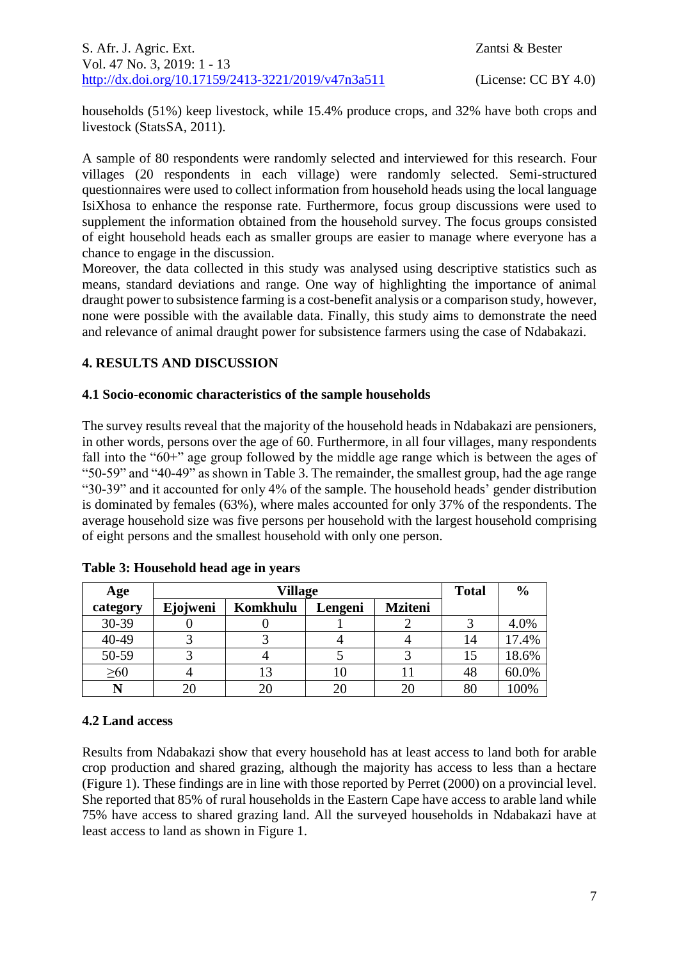households (51%) keep livestock, while 15.4% produce crops, and 32% have both crops and livestock (StatsSA, 2011).

A sample of 80 respondents were randomly selected and interviewed for this research. Four villages (20 respondents in each village) were randomly selected. Semi-structured questionnaires were used to collect information from household heads using the local language IsiXhosa to enhance the response rate. Furthermore, focus group discussions were used to supplement the information obtained from the household survey. The focus groups consisted of eight household heads each as smaller groups are easier to manage where everyone has a chance to engage in the discussion.

Moreover, the data collected in this study was analysed using descriptive statistics such as means, standard deviations and range. One way of highlighting the importance of animal draught power to subsistence farming is a cost-benefit analysis or a comparison study, however, none were possible with the available data. Finally, this study aims to demonstrate the need and relevance of animal draught power for subsistence farmers using the case of Ndabakazi.

### **4. RESULTS AND DISCUSSION**

#### **4.1 Socio-economic characteristics of the sample households**

The survey results reveal that the majority of the household heads in Ndabakazi are pensioners, in other words, persons over the age of 60. Furthermore, in all four villages, many respondents fall into the "60+" age group followed by the middle age range which is between the ages of "50-59" and "40-49" as shown in Table 3. The remainder, the smallest group, had the age range "30-39" and it accounted for only 4% of the sample. The household heads' gender distribution is dominated by females (63%), where males accounted for only 37% of the respondents. The average household size was five persons per household with the largest household comprising of eight persons and the smallest household with only one person.

| Age       | <b>Village</b> |          |         |                | <b>Total</b> | $\frac{6}{9}$ |
|-----------|----------------|----------|---------|----------------|--------------|---------------|
| category  | Ejojweni       | Komkhulu | Lengeni | <b>Mziteni</b> |              |               |
| 30-39     |                |          |         |                |              | 4.0%          |
| 40-49     |                |          |         |                | 14           | 17.4%         |
| 50-59     |                |          |         |                | 15           | 18.6%         |
| $\geq 60$ |                | 13       |         |                | 48           | 60.0%         |
|           |                |          |         | 20             | 80           | 100%          |

### **4.2 Land access**

Results from Ndabakazi show that every household has at least access to land both for arable crop production and shared grazing, although the majority has access to less than a hectare (Figure 1). These findings are in line with those reported by Perret (2000) on a provincial level. She reported that 85% of rural households in the Eastern Cape have access to arable land while 75% have access to shared grazing land. All the surveyed households in Ndabakazi have at least access to land as shown in Figure 1.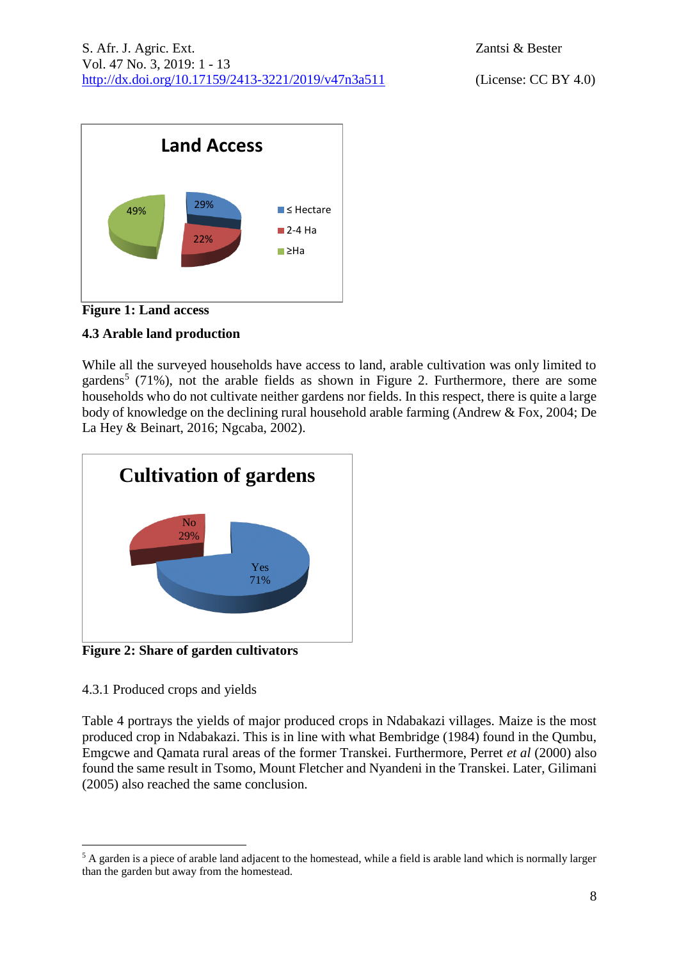

**Figure 1: Land access**

# **4.3 Arable land production**

While all the surveyed households have access to land, arable cultivation was only limited to gardens<sup>5</sup> (71%), not the arable fields as shown in Figure 2. Furthermore, there are some households who do not cultivate neither gardens nor fields. In this respect, there is quite a large body of knowledge on the declining rural household arable farming (Andrew & Fox, 2004; De La Hey & Beinart, 2016; Ngcaba, 2002).



**Figure 2: Share of garden cultivators**

# 4.3.1 Produced crops and yields

1

Table 4 portrays the yields of major produced crops in Ndabakazi villages. Maize is the most produced crop in Ndabakazi. This is in line with what Bembridge (1984) found in the Qumbu, Emgcwe and Qamata rural areas of the former Transkei. Furthermore, Perret *et al* (2000) also found the same result in Tsomo, Mount Fletcher and Nyandeni in the Transkei. Later, Gilimani (2005) also reached the same conclusion.

<sup>&</sup>lt;sup>5</sup> A garden is a piece of arable land adjacent to the homestead, while a field is arable land which is normally larger than the garden but away from the homestead.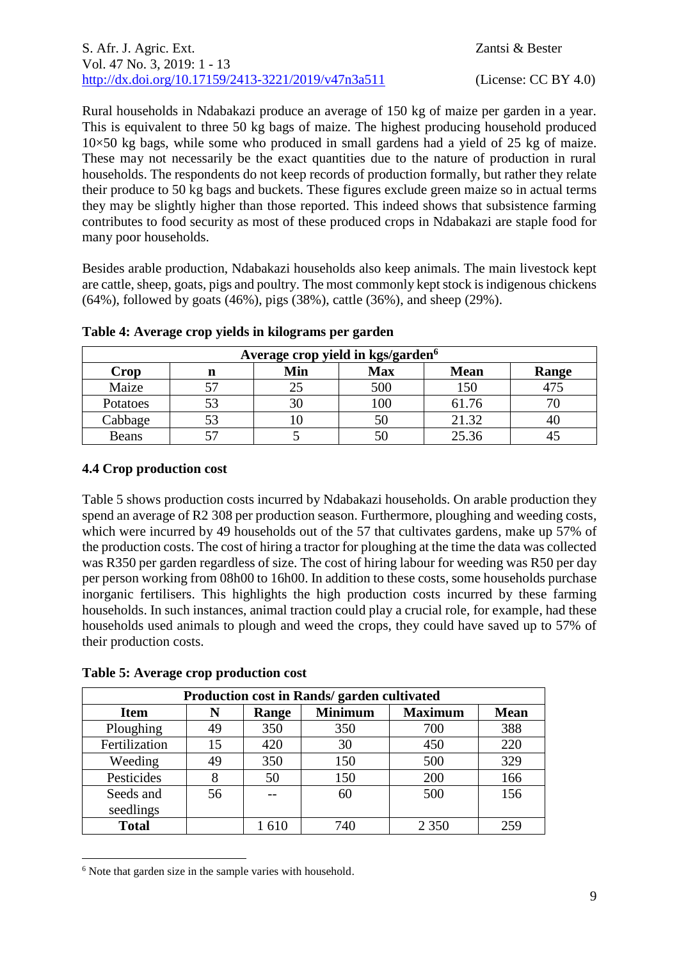Rural households in Ndabakazi produce an average of 150 kg of maize per garden in a year. This is equivalent to three 50 kg bags of maize. The highest producing household produced  $10\times50$  kg bags, while some who produced in small gardens had a yield of 25 kg of maize. These may not necessarily be the exact quantities due to the nature of production in rural households. The respondents do not keep records of production formally, but rather they relate their produce to 50 kg bags and buckets. These figures exclude green maize so in actual terms they may be slightly higher than those reported. This indeed shows that subsistence farming contributes to food security as most of these produced crops in Ndabakazi are staple food for many poor households.

Besides arable production, Ndabakazi households also keep animals. The main livestock kept are cattle, sheep, goats, pigs and poultry. The most commonly kept stock is indigenous chickens (64%), followed by goats (46%), pigs (38%), cattle (36%), and sheep (29%).

| Average crop yield in kgs/garden <sup>6</sup> |   |     |            |             |       |
|-----------------------------------------------|---|-----|------------|-------------|-------|
| Crop                                          | n | Min | <b>Max</b> | <b>Mean</b> | Range |
| Maize                                         |   |     | 500        | 150         |       |
| Potatoes                                      |   |     | 00         | 61.76       |       |
| Cabbage                                       |   |     |            | 21.32       | 40    |
| <b>Beans</b>                                  |   |     |            | 25.36       |       |

**Table 4: Average crop yields in kilograms per garden**

## **4.4 Crop production cost**

Table 5 shows production costs incurred by Ndabakazi households. On arable production they spend an average of R2 308 per production season. Furthermore, ploughing and weeding costs, which were incurred by 49 households out of the 57 that cultivates gardens, make up 57% of the production costs. The cost of hiring a tractor for ploughing at the time the data was collected was R350 per garden regardless of size. The cost of hiring labour for weeding was R50 per day per person working from 08h00 to 16h00. In addition to these costs, some households purchase inorganic fertilisers. This highlights the high production costs incurred by these farming households. In such instances, animal traction could play a crucial role, for example, had these households used animals to plough and weed the crops, they could have saved up to 57% of their production costs.

| Production cost in Rands/ garden cultivated |    |       |                |                |             |
|---------------------------------------------|----|-------|----------------|----------------|-------------|
| <b>Item</b>                                 | N  | Range | <b>Minimum</b> | <b>Maximum</b> | <b>Mean</b> |
| Ploughing                                   | 49 | 350   | 350            | 700            | 388         |
| Fertilization                               | 15 | 420   | 30             | 450            | 220         |
| Weeding                                     | 49 | 350   | 150            | 500            | 329         |
| Pesticides                                  |    | 50    | 150            | 200            | 166         |
| Seeds and                                   | 56 |       | 60             | 500            | 156         |
| seedlings                                   |    |       |                |                |             |
| <b>Total</b>                                |    | 1610  | 740            | 2 3 5 0        | 259         |

**Table 5: Average crop production cost**

<u>.</u>

<sup>&</sup>lt;sup>6</sup> Note that garden size in the sample varies with household.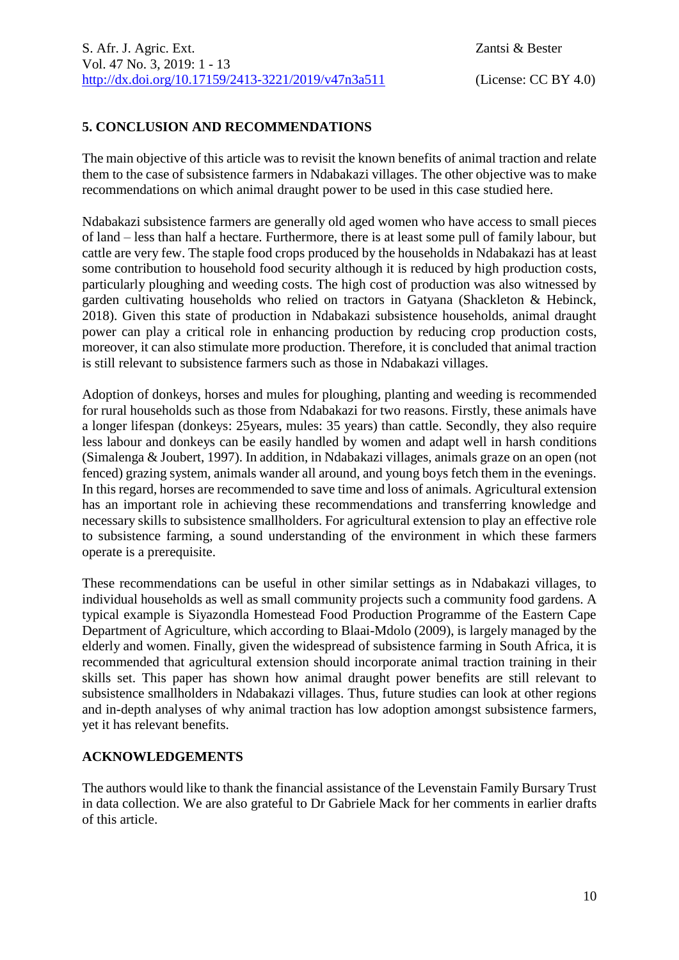## **5. CONCLUSION AND RECOMMENDATIONS**

The main objective of this article was to revisit the known benefits of animal traction and relate them to the case of subsistence farmers in Ndabakazi villages. The other objective was to make recommendations on which animal draught power to be used in this case studied here.

Ndabakazi subsistence farmers are generally old aged women who have access to small pieces of land – less than half a hectare. Furthermore, there is at least some pull of family labour, but cattle are very few. The staple food crops produced by the households in Ndabakazi has at least some contribution to household food security although it is reduced by high production costs, particularly ploughing and weeding costs. The high cost of production was also witnessed by garden cultivating households who relied on tractors in Gatyana (Shackleton & Hebinck, 2018). Given this state of production in Ndabakazi subsistence households, animal draught power can play a critical role in enhancing production by reducing crop production costs, moreover, it can also stimulate more production. Therefore, it is concluded that animal traction is still relevant to subsistence farmers such as those in Ndabakazi villages.

Adoption of donkeys, horses and mules for ploughing, planting and weeding is recommended for rural households such as those from Ndabakazi for two reasons. Firstly, these animals have a longer lifespan (donkeys: 25years, mules: 35 years) than cattle. Secondly, they also require less labour and donkeys can be easily handled by women and adapt well in harsh conditions (Simalenga & Joubert, 1997). In addition, in Ndabakazi villages, animals graze on an open (not fenced) grazing system, animals wander all around, and young boys fetch them in the evenings. In this regard, horses are recommended to save time and loss of animals. Agricultural extension has an important role in achieving these recommendations and transferring knowledge and necessary skills to subsistence smallholders. For agricultural extension to play an effective role to subsistence farming, a sound understanding of the environment in which these farmers operate is a prerequisite.

These recommendations can be useful in other similar settings as in Ndabakazi villages, to individual households as well as small community projects such a community food gardens. A typical example is Siyazondla Homestead Food Production Programme of the Eastern Cape Department of Agriculture, which according to Blaai-Mdolo (2009), is largely managed by the elderly and women. Finally, given the widespread of subsistence farming in South Africa, it is recommended that agricultural extension should incorporate animal traction training in their skills set. This paper has shown how animal draught power benefits are still relevant to subsistence smallholders in Ndabakazi villages. Thus, future studies can look at other regions and in-depth analyses of why animal traction has low adoption amongst subsistence farmers, yet it has relevant benefits.

### **ACKNOWLEDGEMENTS**

The authors would like to thank the financial assistance of the Levenstain Family Bursary Trust in data collection. We are also grateful to Dr Gabriele Mack for her comments in earlier drafts of this article.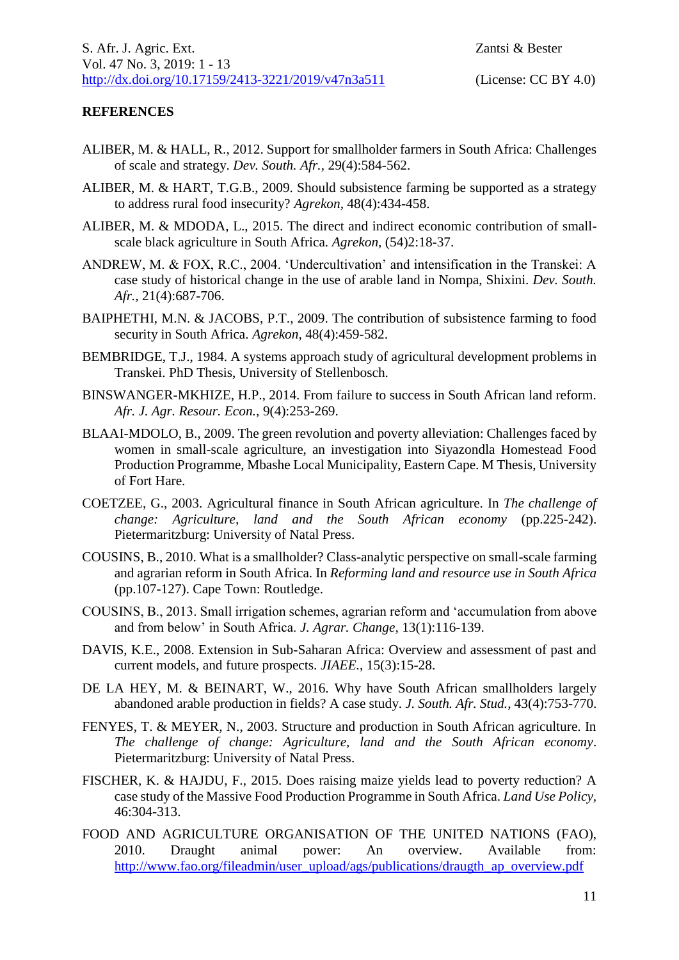### **REFERENCES**

- ALIBER, M. & HALL, R., 2012. Support for smallholder farmers in South Africa: Challenges of scale and strategy. *Dev. South. Afr.,* 29(4):584-562.
- ALIBER, M. & HART, T.G.B., 2009. Should subsistence farming be supported as a strategy to address rural food insecurity? *Agrekon,* 48(4):434-458.
- ALIBER, M. & MDODA, L., 2015. The direct and indirect economic contribution of smallscale black agriculture in South Africa. *Agrekon,* (54)2:18-37.
- ANDREW, M. & FOX, R.C., 2004. 'Undercultivation' and intensification in the Transkei: A case study of historical change in the use of arable land in Nompa, Shixini. *Dev. South. Afr.,* 21(4):687-706.
- BAIPHETHI, M.N. & JACOBS, P.T., 2009. The contribution of subsistence farming to food security in South Africa. *Agrekon,* 48(4):459-582.
- BEMBRIDGE, T.J., 1984. A systems approach study of agricultural development problems in Transkei. PhD Thesis, University of Stellenbosch.
- BINSWANGER-MKHIZE, H.P., 2014. From failure to success in South African land reform. *Afr. J. Agr. Resour. Econ.,* 9(4):253-269.
- BLAAI-MDOLO, B., 2009. The green revolution and poverty alleviation: Challenges faced by women in small-scale agriculture, an investigation into Siyazondla Homestead Food Production Programme, Mbashe Local Municipality, Eastern Cape. M Thesis, University of Fort Hare.
- COETZEE, G., 2003. Agricultural finance in South African agriculture. In *The challenge of change: Agriculture, land and the South African economy* (pp.225-242). Pietermaritzburg: University of Natal Press.
- COUSINS, B., 2010. What is a smallholder? Class-analytic perspective on small-scale farming and agrarian reform in South Africa. In *Reforming land and resource use in South Africa* (pp.107-127). Cape Town: Routledge.
- COUSINS, B., 2013. Small irrigation schemes, agrarian reform and 'accumulation from above and from below' in South Africa. *J. Agrar. Change,* 13(1):116-139.
- DAVIS, K.E., 2008. Extension in Sub-Saharan Africa: Overview and assessment of past and current models, and future prospects. *JIAEE.*, 15(3):15-28.
- DE LA HEY, M. & BEINART, W., 2016. Why have South African smallholders largely abandoned arable production in fields? A case study. *J. South. Afr. Stud.,* 43(4):753-770.
- FENYES, T. & MEYER, N., 2003. Structure and production in South African agriculture. In *The challenge of change: Agriculture, land and the South African economy*. Pietermaritzburg: University of Natal Press.
- FISCHER, K. & HAJDU, F., 2015. Does raising maize yields lead to poverty reduction? A case study of the Massive Food Production Programme in South Africa. *Land Use Policy,* 46:304-313.
- FOOD AND AGRICULTURE ORGANISATION OF THE UNITED NATIONS (FAO), 2010. Draught animal power: An overview. Available from: [http://www.fao.org/fileadmin/user\\_upload/ags/publications/draugth\\_ap\\_overview.pdf](http://www.fao.org/fileadmin/user_upload/ags/publications/draugth_ap_overview.pdf)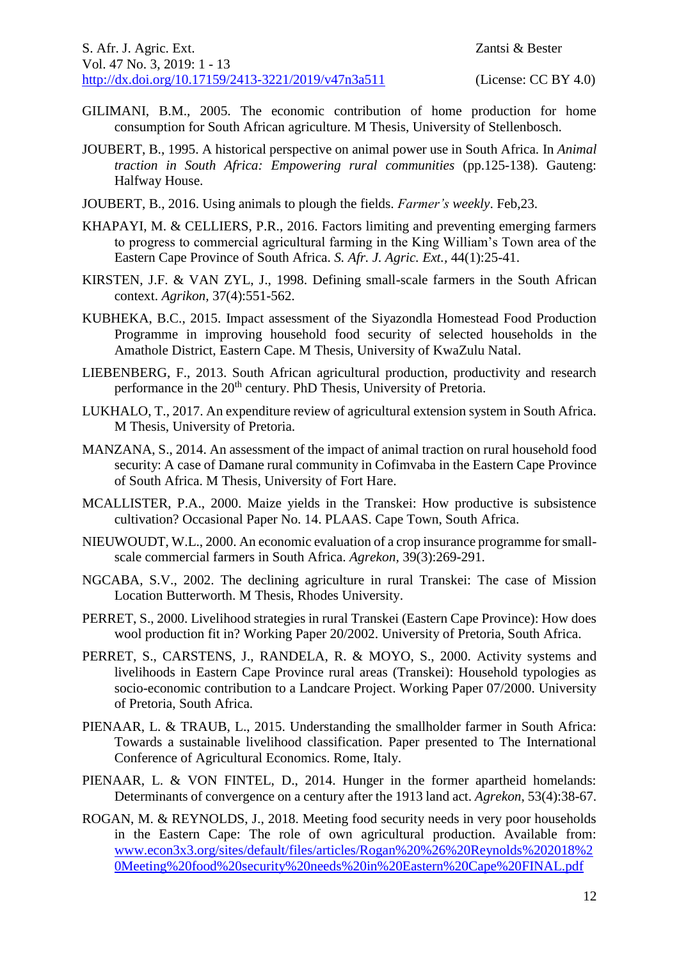- GILIMANI, B.M., 2005. The economic contribution of home production for home consumption for South African agriculture. M Thesis, University of Stellenbosch.
- JOUBERT, B., 1995. A historical perspective on animal power use in South Africa. In *Animal traction in South Africa: Empowering rural communities* (pp.125-138). Gauteng: Halfway House.
- JOUBERT, B., 2016. Using animals to plough the fields. *Farmer's weekly*. Feb,23.
- KHAPAYI, M. & CELLIERS, P.R., 2016. Factors limiting and preventing emerging farmers to progress to commercial agricultural farming in the King William's Town area of the Eastern Cape Province of South Africa. *S. Afr. J. Agric. Ext.,* 44(1):25-41.
- KIRSTEN, J.F. & VAN ZYL, J., 1998. Defining small-scale farmers in the South African context. *Agrikon,* 37(4):551-562.
- KUBHEKA, B.C., 2015. Impact assessment of the Siyazondla Homestead Food Production Programme in improving household food security of selected households in the Amathole District, Eastern Cape. M Thesis, University of KwaZulu Natal.
- LIEBENBERG, F., 2013. South African agricultural production, productivity and research performance in the 20<sup>th</sup> century. PhD Thesis, University of Pretoria.
- LUKHALO, T., 2017. An expenditure review of agricultural extension system in South Africa. M Thesis, University of Pretoria.
- MANZANA, S., 2014. An assessment of the impact of animal traction on rural household food security: A case of Damane rural community in Cofimvaba in the Eastern Cape Province of South Africa. M Thesis, University of Fort Hare.
- MCALLISTER, P.A., 2000. Maize yields in the Transkei: How productive is subsistence cultivation? Occasional Paper No. 14. PLAAS. Cape Town, South Africa.
- NIEUWOUDT, W.L., 2000. An economic evaluation of a crop insurance programme for smallscale commercial farmers in South Africa. *Agrekon,* 39(3):269-291.
- NGCABA, S.V., 2002. The declining agriculture in rural Transkei: The case of Mission Location Butterworth. M Thesis, Rhodes University.
- PERRET, S., 2000. Livelihood strategies in rural Transkei (Eastern Cape Province): How does wool production fit in? Working Paper 20/2002. University of Pretoria, South Africa.
- PERRET, S., CARSTENS, J., RANDELA, R. & MOYO, S., 2000. Activity systems and livelihoods in Eastern Cape Province rural areas (Transkei): Household typologies as socio-economic contribution to a Landcare Project. Working Paper 07/2000. University of Pretoria, South Africa.
- PIENAAR, L. & TRAUB, L., 2015. Understanding the smallholder farmer in South Africa: Towards a sustainable livelihood classification. Paper presented to The International Conference of Agricultural Economics. Rome, Italy.
- PIENAAR, L. & VON FINTEL, D., 2014. Hunger in the former apartheid homelands: Determinants of convergence on a century after the 1913 land act. *Agrekon,* 53(4):38-67.
- ROGAN, M. & REYNOLDS, J., 2018. Meeting food security needs in very poor households in the Eastern Cape: The role of own agricultural production. Available from: [www.econ3x3.org/sites/default/files/articles/Rogan%20%26%20Reynolds%202018%2](http://www.econ3x3.org/sites/default/files/articles/Rogan%20%26%20Reynolds%202018%20Meeting%20food%20security%20needs%20in%20Eastern%20Cape%20FINAL.pdf) [0Meeting%20food%20security%20needs%20in%20Eastern%20Cape%20FINAL.pdf](http://www.econ3x3.org/sites/default/files/articles/Rogan%20%26%20Reynolds%202018%20Meeting%20food%20security%20needs%20in%20Eastern%20Cape%20FINAL.pdf)